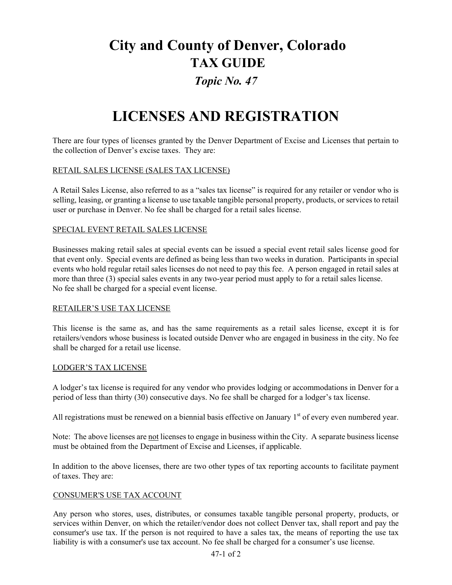# **City and County of Denver, Colorado TAX GUIDE**

### *Topic No. 47*

## **LICENSES AND REGISTRATION**

There are four types of licenses granted by the Denver Department of Excise and Licenses that pertain to the collection of Denver's excise taxes. They are:

#### RETAIL SALES LICENSE (SALES TAX LICENSE)

A Retail Sales License, also referred to as a "sales tax license" is required for any retailer or vendor who is selling, leasing, or granting a license to use taxable tangible personal property, products, or services to retail user or purchase in Denver. No fee shall be charged for a retail sales license.

#### SPECIAL EVENT RETAIL SALES LICENSE

Businesses making retail sales at special events can be issued a special event retail sales license good for that event only. Special events are defined as being less than two weeks in duration. Participants in special events who hold regular retail sales licenses do not need to pay this fee. A person engaged in retail sales at more than three (3) special sales events in any two-year period must apply to for a retail sales license. No fee shall be charged for a special event license.

#### RETAILER'S USE TAX LICENSE

This license is the same as, and has the same requirements as a retail sales license, except it is for retailers/vendors whose business is located outside Denver who are engaged in business in the city. No fee shall be charged for a retail use license.

#### LODGER'S TAX LICENSE

A lodger's tax license is required for any vendor who provides lodging or accommodations in Denver for a period of less than thirty (30) consecutive days. No fee shall be charged for a lodger's tax license.

All registrations must be renewed on a biennial basis effective on January  $1<sup>st</sup>$  of every even numbered year.

Note: The above licenses are not licenses to engage in business within the City. A separate business license must be obtained from the Department of Excise and Licenses, if applicable.

In addition to the above licenses, there are two other types of tax reporting accounts to facilitate payment of taxes. They are:

#### CONSUMER'S USE TAX ACCOUNT

Any person who stores, uses, distributes, or consumes taxable tangible personal property, products, or services within Denver, on which the retailer/vendor does not collect Denver tax, shall report and pay the consumer's use tax. If the person is not required to have a sales tax, the means of reporting the use tax liability is with a consumer's use tax account. No fee shall be charged for a consumer's use license.